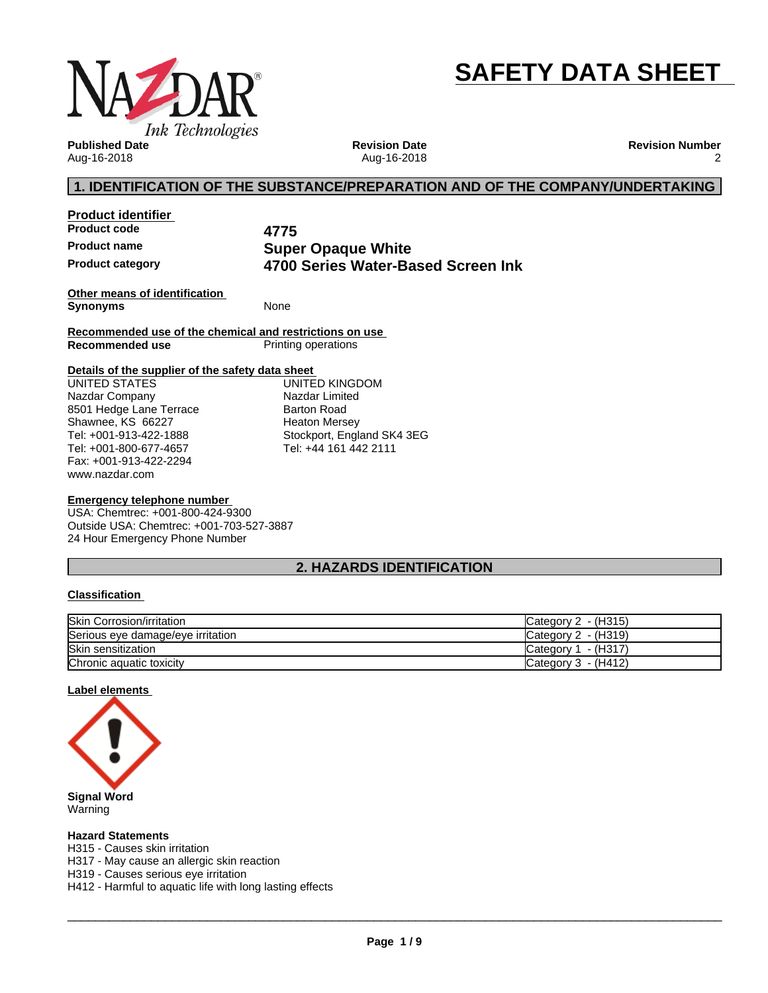

# **SAFETY DATA SHEET**

**Published Date** Aug-16-2018

**Revision Date** Aug-16-2018 **Revision Number** 2

# **1. IDENTIFICATION OF THE SUBSTANCE/PREPARATION AND OF THE COMPANY/UNDERTAKING**

**Product identifier Product code 4775**

**Product name Super Opaque White Product category 4700 Series Water-Based Screen Ink**

**Other means of identification Synonyms** None

**Recommended use of the chemical and restrictions on use Printing operations** 

#### **Details of the supplier of the safety data sheet**

www.nazdar.com UNITED STATES Nazdar Company 8501 Hedge Lane Terrace Shawnee, KS 66227 Tel: +001-913-422-1888 Tel: +001-800-677-4657 Fax: +001-913-422-2294

UNITED KINGDOM Nazdar Limited Barton Road Heaton Mersey Stockport, England SK4 3EG Tel: +44 161 442 2111

#### **Emergency telephone number**

USA: Chemtrec: +001-800-424-9300 Outside USA: Chemtrec: +001-703-527-3887 24 Hour Emergency Phone Number

# **2. HAZARDS IDENTIFICATION**

#### **Classification**

| <b>Skin Corrosion/irritation</b>  | - (H315)<br>Category 2 |
|-----------------------------------|------------------------|
| Serious eye damage/eye irritation | Category 2 - (H319)    |
| Skin sensitization                | - (H317`<br>Category 1 |
| Chronic aquatic toxicity          | Category 3 - (H412)    |

#### **Label elements**



Warning

#### **Hazard Statements**

H315 - Causes skin irritation

H317 - May cause an allergic skin reaction

H319 - Causes serious eye irritation

H412 - Harmful to aquatic life with long lasting effects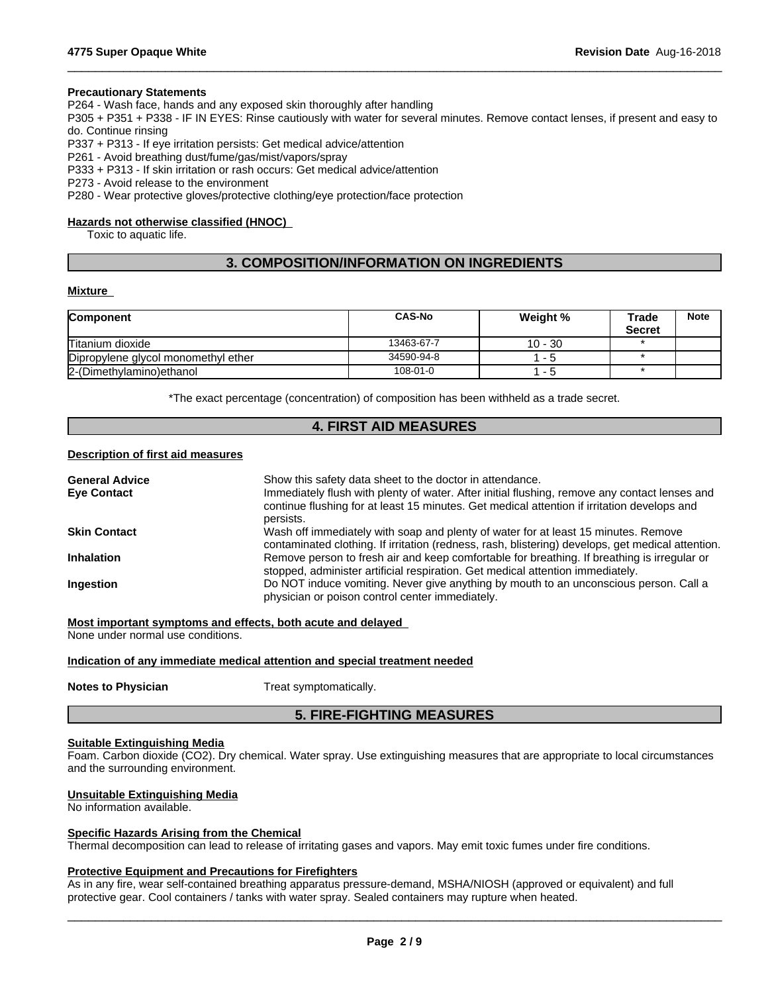#### **Precautionary Statements**

P264 - Wash face, hands and any exposed skin thoroughly after handling

P305 + P351 + P338 - IF IN EYES: Rinse cautiously with water forseveral minutes. Remove contact lenses, if present and easy to do. Continue rinsing

 $\_$  ,  $\_$  ,  $\_$  ,  $\_$  ,  $\_$  ,  $\_$  ,  $\_$  ,  $\_$  ,  $\_$  ,  $\_$  ,  $\_$  ,  $\_$  ,  $\_$  ,  $\_$  ,  $\_$  ,  $\_$  ,  $\_$  ,  $\_$  ,  $\_$  ,  $\_$  ,  $\_$  ,  $\_$  ,  $\_$  ,  $\_$  ,  $\_$  ,  $\_$  ,  $\_$  ,  $\_$  ,  $\_$  ,  $\_$  ,  $\_$  ,  $\_$  ,  $\_$  ,  $\_$  ,  $\_$  ,  $\_$  ,  $\_$  ,

P337 + P313 - If eye irritation persists: Get medical advice/attention

P261 - Avoid breathing dust/fume/gas/mist/vapors/spray

P333 + P313 - If skin irritation or rash occurs: Get medical advice/attention

P273 - Avoid release to the environment

P280 - Wear protective gloves/protective clothing/eye protection/face protection

#### **Hazards not otherwise classified (HNOC)**

Toxic to aquatic life.

# **3. COMPOSITION/INFORMATION ON INGREDIENTS**

#### **Mixture**

| <b>Component</b>                    | <b>CAS-No</b> | Weight %  | Trade         | <b>Note</b> |
|-------------------------------------|---------------|-----------|---------------|-------------|
|                                     |               |           | <b>Secret</b> |             |
| Titanium dioxide                    | 13463-67-7    | $10 - 30$ |               |             |
| Dipropylene glycol monomethyl ether | 34590-94-8    | - 5       |               |             |
| 2-(Dimethylamino) ethanol           | 108-01-0      | - 5       |               |             |

\*The exact percentage (concentration) of composition has been withheld as a trade secret.

### **4. FIRST AID MEASURES**

### **Description of first aid measures**

| <b>General Advice</b> | Show this safety data sheet to the doctor in attendance.                                                                                                                                                  |
|-----------------------|-----------------------------------------------------------------------------------------------------------------------------------------------------------------------------------------------------------|
| <b>Eve Contact</b>    | Immediately flush with plenty of water. After initial flushing, remove any contact lenses and<br>continue flushing for at least 15 minutes. Get medical attention if irritation develops and<br>persists. |
| <b>Skin Contact</b>   | Wash off immediately with soap and plenty of water for at least 15 minutes. Remove<br>contaminated clothing. If irritation (redness, rash, blistering) develops, get medical attention.                   |
| <b>Inhalation</b>     | Remove person to fresh air and keep comfortable for breathing. If breathing is irregular or<br>stopped, administer artificial respiration. Get medical attention immediately.                             |
| Ingestion             | Do NOT induce vomiting. Never give anything by mouth to an unconscious person. Call a<br>physician or poison control center immediately.                                                                  |

**Most important symptoms and effects, both acute and delayed**

None under normal use conditions.

#### **Indication of any immediate medical attention and special treatment needed**

**Notes to Physician** Treat symptomatically.

# **5. FIRE-FIGHTING MEASURES**

#### **Suitable Extinguishing Media**

Foam. Carbon dioxide (CO2). Dry chemical. Water spray. Use extinguishing measures that are appropriate to local circumstances and the surrounding environment.

#### **Unsuitable Extinguishing Media**

No information available.

#### **Specific Hazards Arising from the Chemical**

Thermal decomposition can lead to release of irritating gases and vapors. May emit toxic fumes under fire conditions.

#### **Protective Equipment and Precautions for Firefighters**

As in any fire, wear self-contained breathing apparatus pressure-demand, MSHA/NIOSH (approved or equivalent) and full protective gear. Cool containers / tanks with water spray. Sealed containers may rupture when heated.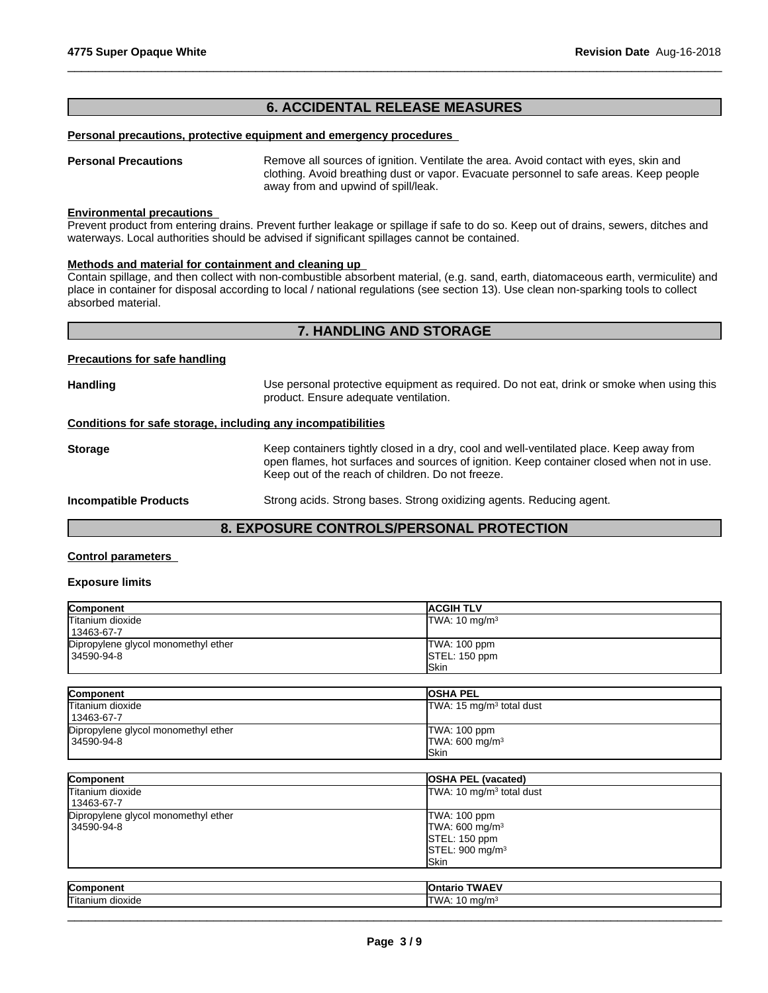# **6. ACCIDENTAL RELEASE MEASURES**

#### **Personal precautions, protective equipment and emergency procedures**

**Personal Precautions** Remove all sources of ignition. Ventilate the area. Avoid contact with eyes, skin and clothing. Avoid breathing dust or vapor. Evacuate personnel to safe areas. Keep people away from and upwind of spill/leak.

 $\_$  ,  $\_$  ,  $\_$  ,  $\_$  ,  $\_$  ,  $\_$  ,  $\_$  ,  $\_$  ,  $\_$  ,  $\_$  ,  $\_$  ,  $\_$  ,  $\_$  ,  $\_$  ,  $\_$  ,  $\_$  ,  $\_$  ,  $\_$  ,  $\_$  ,  $\_$  ,  $\_$  ,  $\_$  ,  $\_$  ,  $\_$  ,  $\_$  ,  $\_$  ,  $\_$  ,  $\_$  ,  $\_$  ,  $\_$  ,  $\_$  ,  $\_$  ,  $\_$  ,  $\_$  ,  $\_$  ,  $\_$  ,  $\_$  ,

#### **Environmental precautions**

Prevent product from entering drains. Prevent further leakage or spillage if safe to do so. Keep out of drains, sewers, ditches and waterways. Local authorities should be advised if significant spillages cannot be contained.

#### **Methods and material for containment and cleaning up**

Contain spillage, and then collectwith non-combustible absorbent material, (e.g. sand, earth, diatomaceous earth, vermiculite) and place in container for disposal according to local / national regulations (see section 13). Use clean non-sparking tools to collect absorbed material.

# **7. HANDLING AND STORAGE**

#### **Precautions for safe handling**

| Handling                                                     | Use personal protective equipment as required. Do not eat, drink or smoke when using this<br>product. Ensure adequate ventilation.                                                                                                        |
|--------------------------------------------------------------|-------------------------------------------------------------------------------------------------------------------------------------------------------------------------------------------------------------------------------------------|
| Conditions for safe storage, including any incompatibilities |                                                                                                                                                                                                                                           |
| Storage                                                      | Keep containers tightly closed in a dry, cool and well-ventilated place. Keep away from<br>open flames, hot surfaces and sources of ignition. Keep container closed when not in use.<br>Keep out of the reach of children. Do not freeze. |
| <b>Incompatible Products</b>                                 | Strong acids. Strong bases. Strong oxidizing agents. Reducing agent.                                                                                                                                                                      |

# **8. EXPOSURE CONTROLS/PERSONAL PROTECTION**

#### **Control parameters**

#### **Exposure limits**

| Component                           | <b>ACGIH TLV</b>         |
|-------------------------------------|--------------------------|
| Titanium dioxide                    | TWA: $10 \text{ mg/m}^3$ |
| 13463-67-7                          |                          |
| Dipropylene glycol monomethyl ether | TWA: 100 ppm             |
| 34590-94-8                          | STEL: 150 ppm            |
|                                     | <b>ISkin</b>             |

| Component                           | <b>OSHA PEL</b>                      |
|-------------------------------------|--------------------------------------|
| Titanium dioxide                    | TWA: 15 mg/m <sup>3</sup> total dust |
| 13463-67-7                          |                                      |
| Dipropylene glycol monomethyl ether | TWA: 100 ppm                         |
| 34590-94-8                          | TWA: 600 mg/m <sup>3</sup>           |
|                                     | <b>Skin</b>                          |

| Component                           | <b>OSHA PEL (vacated)</b>            |  |
|-------------------------------------|--------------------------------------|--|
| Titanium dioxide                    | TWA: 10 mg/m <sup>3</sup> total dust |  |
| 13463-67-7                          |                                      |  |
| Dipropylene glycol monomethyl ether | TWA: 100 ppm                         |  |
| 34590-94-8                          | TWA: 600 mg/m <sup>3</sup>           |  |
|                                     | STEL: 150 ppm                        |  |
|                                     | STEL: 900 mg/m <sup>3</sup>          |  |
|                                     | <b>ISkin</b>                         |  |
|                                     |                                      |  |

| Component            | $\bullet$ $\bullet$<br>TIA.<br><b>IOntar</b><br>ΊС |
|----------------------|----------------------------------------------------|
| ITitanium<br>dioxide | ma/n<br>M A<br>. .                                 |
|                      |                                                    |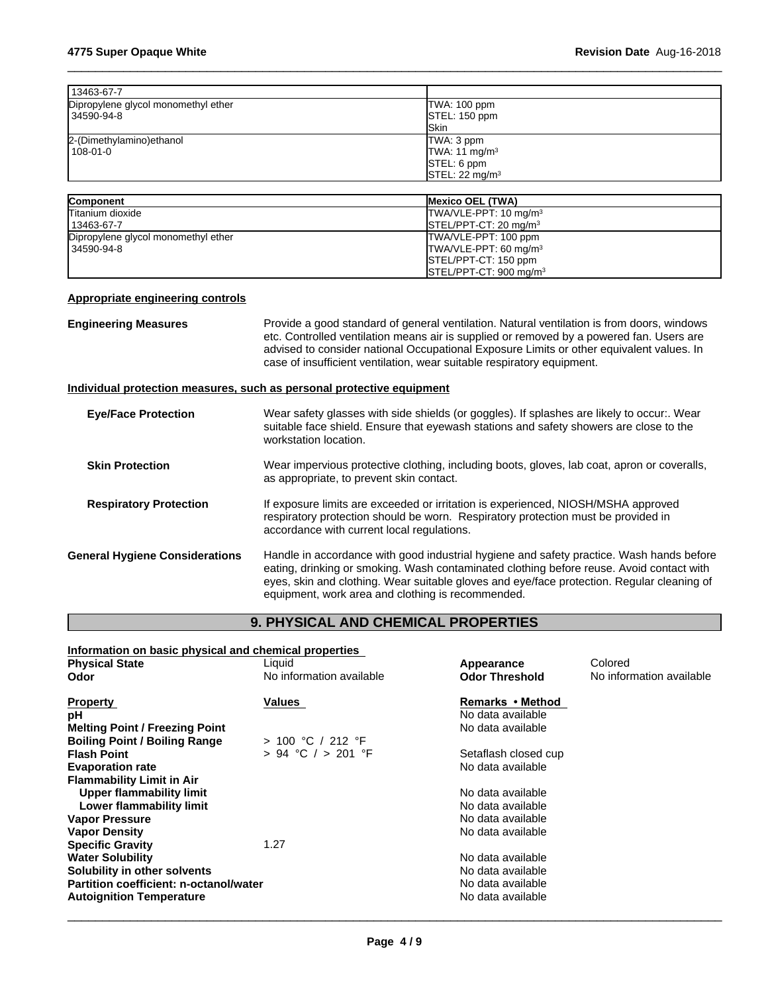| TWA: 100 ppm               |
|----------------------------|
| STEL: 150 ppm              |
| <b>ISkin</b>               |
| TWA: 3 ppm                 |
| TWA: 11 mg/m <sup>3</sup>  |
| STEL: 6 ppm                |
| STEL: 22 mg/m <sup>3</sup> |
|                            |

| <b>Component</b>                    | <b>IMexico OEL (TWA)</b>                      |
|-------------------------------------|-----------------------------------------------|
| Titanium dioxide                    | TWA/VLE-PPT: 10 mg/m <sup>3</sup>             |
| 13463-67-7                          | $\textsf{ISTEL/PPT-CT: 20 mq/m}^3$            |
| Dipropylene glycol monomethyl ether | <b>ITWA/VLE-PPT: 100 ppm</b>                  |
| 34590-94-8                          | TWA/VLE-PPT: 60 mg/m <sup>3</sup>             |
|                                     | <b>ISTEL/PPT-CT: 150 ppm</b>                  |
|                                     | $\textsf{ISTEL/PPT-CT: 900}\,\textsf{mq/m}^3$ |

# **Appropriate engineering controls**

| <b>Engineering Measures</b>           | Provide a good standard of general ventilation. Natural ventilation is from doors, windows<br>etc. Controlled ventilation means air is supplied or removed by a powered fan. Users are<br>advised to consider national Occupational Exposure Limits or other equivalent values. In<br>case of insufficient ventilation, wear suitable respiratory equipment. |
|---------------------------------------|--------------------------------------------------------------------------------------------------------------------------------------------------------------------------------------------------------------------------------------------------------------------------------------------------------------------------------------------------------------|
|                                       | Individual protection measures, such as personal protective equipment                                                                                                                                                                                                                                                                                        |
| <b>Eye/Face Protection</b>            | Wear safety glasses with side shields (or goggles). If splashes are likely to occur:. Wear<br>suitable face shield. Ensure that eyewash stations and safety showers are close to the<br>workstation location.                                                                                                                                                |
| <b>Skin Protection</b>                | Wear impervious protective clothing, including boots, gloves, lab coat, apron or coveralls,<br>as appropriate, to prevent skin contact.                                                                                                                                                                                                                      |
| <b>Respiratory Protection</b>         | If exposure limits are exceeded or irritation is experienced, NIOSH/MSHA approved<br>respiratory protection should be worn. Respiratory protection must be provided in<br>accordance with current local regulations.                                                                                                                                         |
| <b>General Hygiene Considerations</b> | Handle in accordance with good industrial hygiene and safety practice. Wash hands before<br>eating, drinking or smoking. Wash contaminated clothing before reuse. Avoid contact with<br>eyes, skin and clothing. Wear suitable gloves and eye/face protection. Regular cleaning of<br>equipment, work area and clothing is recommended.                      |

# **9. PHYSICAL AND CHEMICAL PROPERTIES**

| Information on basic physical and chemical properties |                          |                       |                          |
|-------------------------------------------------------|--------------------------|-----------------------|--------------------------|
| <b>Physical State</b>                                 | Liquid                   | Appearance            | Colored                  |
| Odor                                                  | No information available | <b>Odor Threshold</b> | No information available |
| <b>Property</b>                                       | Values                   | Remarks • Method      |                          |
| рH                                                    |                          | No data available     |                          |
| <b>Melting Point / Freezing Point</b>                 |                          | No data available     |                          |
| <b>Boiling Point / Boiling Range</b>                  | > 100 °C / 212 °F        |                       |                          |
| <b>Flash Point</b>                                    | $> 94$ °C $/ > 201$ °F   | Setaflash closed cup  |                          |
| <b>Evaporation rate</b>                               |                          | No data available     |                          |
| <b>Flammability Limit in Air</b>                      |                          |                       |                          |
| Upper flammability limit                              |                          | No data available     |                          |
| Lower flammability limit                              |                          | No data available     |                          |
| <b>Vapor Pressure</b>                                 |                          | No data available     |                          |
| <b>Vapor Density</b>                                  |                          | No data available     |                          |
| <b>Specific Gravity</b>                               | 1.27                     |                       |                          |
| <b>Water Solubility</b>                               |                          | No data available     |                          |
| Solubility in other solvents                          |                          | No data available     |                          |
| Partition coefficient: n-octanol/water                |                          | No data available     |                          |
| <b>Autoignition Temperature</b>                       |                          | No data available     |                          |
|                                                       |                          |                       |                          |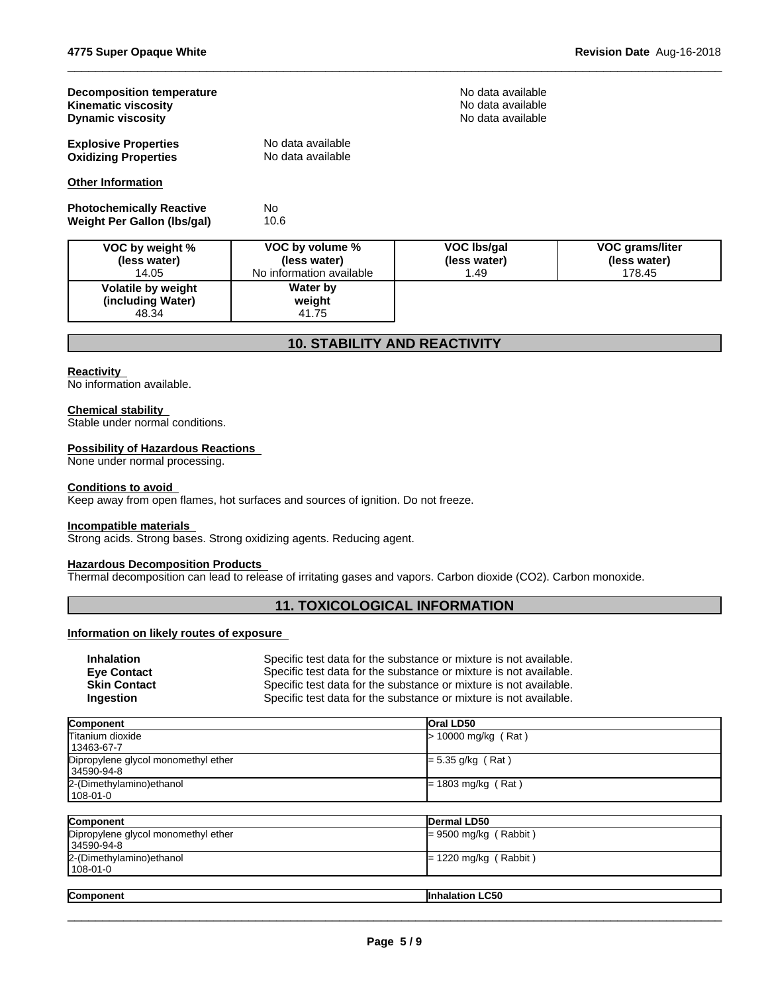| <b>Decomposition temperature</b><br><b>Kinematic viscosity</b><br><b>Dynamic viscosity</b> |                                                             | No data available<br>No data available<br>No data available |                                           |  |
|--------------------------------------------------------------------------------------------|-------------------------------------------------------------|-------------------------------------------------------------|-------------------------------------------|--|
| <b>Explosive Properties</b><br><b>Oxidizing Properties</b>                                 | No data available<br>No data available                      |                                                             |                                           |  |
| <b>Other Information</b>                                                                   |                                                             |                                                             |                                           |  |
| <b>Photochemically Reactive</b><br>Weight Per Gallon (Ibs/gal)                             | No.<br>10.6                                                 |                                                             |                                           |  |
| VOC by weight %<br>(less water)<br>14.05                                                   | VOC by volume %<br>(less water)<br>No information available | <b>VOC Ibs/gal</b><br>(less water)<br>1.49                  | VOC grams/liter<br>(less water)<br>178.45 |  |
| Volatile by weight<br>(including Water)<br>48.34                                           | <b>Water by</b><br>weight<br>41.75                          |                                                             |                                           |  |

# **10. STABILITY AND REACTIVITY**

# **Reactivity**

No information available.

#### **Chemical stability**

Stable under normal conditions.

#### **Possibility of Hazardous Reactions**

None under normal processing.

#### **Conditions to avoid**

Keep away from open flames, hot surfaces and sources of ignition. Do not freeze.

#### **Incompatible materials**

Strong acids. Strong bases. Strong oxidizing agents. Reducing agent.

# **Hazardous Decomposition Products**

Thermal decomposition can lead to release of irritating gases and vapors. Carbon dioxide (CO2). Carbon monoxide.

# **11. TOXICOLOGICAL INFORMATION**

#### **Information on likely routes of exposure**

| <b>Inhalation</b>   | Specific test data for the substance or mixture is not available. |
|---------------------|-------------------------------------------------------------------|
| <b>Eve Contact</b>  | Specific test data for the substance or mixture is not available. |
| <b>Skin Contact</b> | Specific test data for the substance or mixture is not available. |
| Ingestion           | Specific test data for the substance or mixture is not available. |

| Component                           | <b>Oral LD50</b>      |
|-------------------------------------|-----------------------|
| Titanium dioxide                    | $> 10000$ mg/kg (Rat) |
| 13463-67-7                          |                       |
| Dipropylene glycol monomethyl ether | $= 5.35$ g/kg (Rat)   |
| 34590-94-8                          |                       |
| 2-(Dimethylamino) ethanol           | $= 1803$ mg/kg (Rat)  |
| 108-01-0                            |                       |
|                                     |                       |

| Component                           | Dermal LD50             |
|-------------------------------------|-------------------------|
| Dipropylene glycol monomethyl ether | $= 9500$ mg/kg (Rabbit) |
| 34590-94-8                          |                         |
| 2-(Dimethylamino) ethanol           | $= 1220$ mg/kg (Rabbit) |
| 108-01-0                            |                         |
|                                     |                         |
| Component                           | <b>Inhalation LC50</b>  |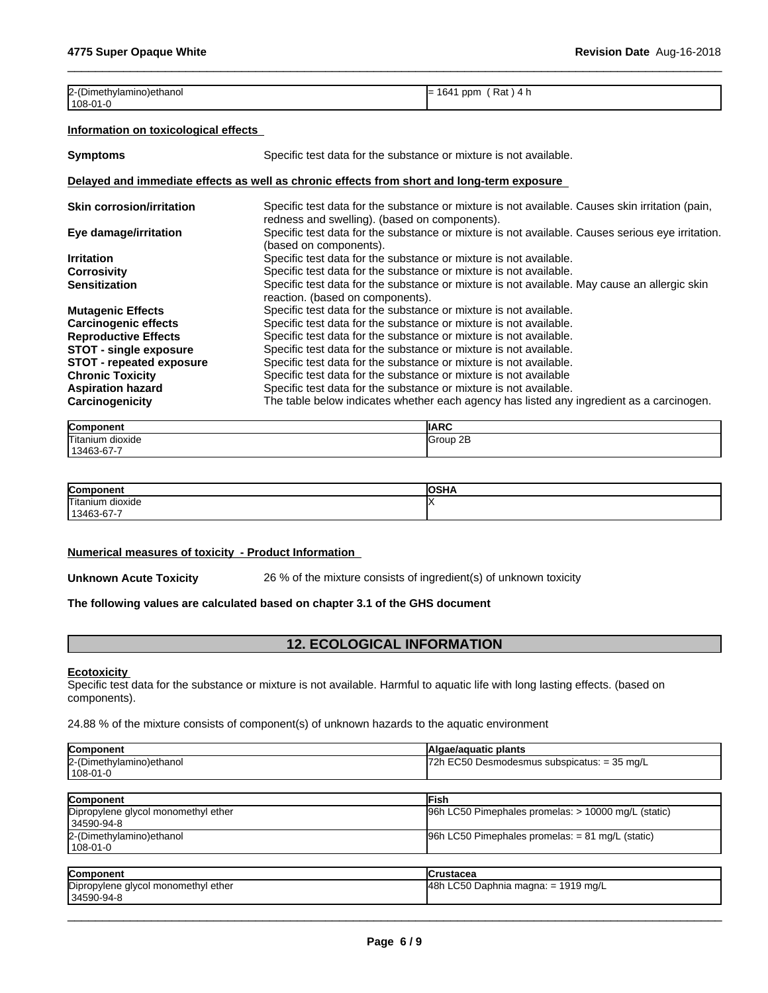| 2-(Dimethylamino) ethanol | 1641<br>「Rat)4 h<br>ppm |
|---------------------------|-------------------------|
| $1108 - 01 - 0$           |                         |

### **Information on toxicological effects**

| <b>Symptoms</b>                                                                            | Specific test data for the substance or mixture is not available.                                                                                |  |
|--------------------------------------------------------------------------------------------|--------------------------------------------------------------------------------------------------------------------------------------------------|--|
| Delayed and immediate effects as well as chronic effects from short and long-term exposure |                                                                                                                                                  |  |
| <b>Skin corrosion/irritation</b>                                                           | Specific test data for the substance or mixture is not available. Causes skin irritation (pain,<br>redness and swelling). (based on components). |  |
| Eye damage/irritation                                                                      | Specific test data for the substance or mixture is not available. Causes serious eye irritation.<br>(based on components).                       |  |
| <b>Irritation</b>                                                                          | Specific test data for the substance or mixture is not available.                                                                                |  |
| <b>Corrosivity</b>                                                                         | Specific test data for the substance or mixture is not available.                                                                                |  |
| <b>Sensitization</b>                                                                       | Specific test data for the substance or mixture is not available. May cause an allergic skin<br>reaction. (based on components).                 |  |
| <b>Mutagenic Effects</b>                                                                   | Specific test data for the substance or mixture is not available.                                                                                |  |
| <b>Carcinogenic effects</b>                                                                | Specific test data for the substance or mixture is not available.                                                                                |  |
| <b>Reproductive Effects</b>                                                                | Specific test data for the substance or mixture is not available.                                                                                |  |
| <b>STOT - single exposure</b>                                                              | Specific test data for the substance or mixture is not available.                                                                                |  |
| <b>STOT - repeated exposure</b>                                                            | Specific test data for the substance or mixture is not available.                                                                                |  |
| <b>Chronic Toxicity</b>                                                                    | Specific test data for the substance or mixture is not available                                                                                 |  |
| <b>Aspiration hazard</b>                                                                   | Specific test data for the substance or mixture is not available.                                                                                |  |
| Carcinogenicity                                                                            | The table below indicates whether each agency has listed any ingredient as a carcinogen.                                                         |  |

| Component                    | <b>IIARC</b>       |
|------------------------------|--------------------|
| Titaniun<br>dioxide          | 2E<br>Sroup 4<br>ັ |
| $\sim$<br>1010<br>-3463-67-7 |                    |

| Compon              | IOSHA |
|---------------------|-------|
| Titanium<br>dioxide |       |
| 13463-67-7          |       |

#### **Numerical measures of toxicity - Product Information**

**Unknown Acute Toxicity** 26 % of the mixture consists of ingredient(s) of unknown toxicity

#### **The following values are calculated based on chapter 3.1 of the GHS document**

# **12. ECOLOGICAL INFORMATION**

#### **Ecotoxicity**

Specific test data for the substance or mixture is not available. Harmful to aquatic life with long lasting effects. (based on components).

24.88 % of the mixture consists of component(s) of unknown hazards to the aquatic environment

| Algae/aquatic plants                                |
|-----------------------------------------------------|
| $72h$ EC50 Desmodesmus subspicatus: = 35 mg/L       |
| Fish                                                |
| 96h LC50 Pimephales promelas: > 10000 mg/L (static) |
| $96h$ LC50 Pimephales promelas: = 81 mg/L (static)  |
|                                                     |

| <b>Component</b>                    | <b>ICrustacea</b>                   |
|-------------------------------------|-------------------------------------|
| Dipropylene glycol monomethyl ether | 48h LC50 Daphnia magna: = 1919 mg/L |
| 34590-94-8                          |                                     |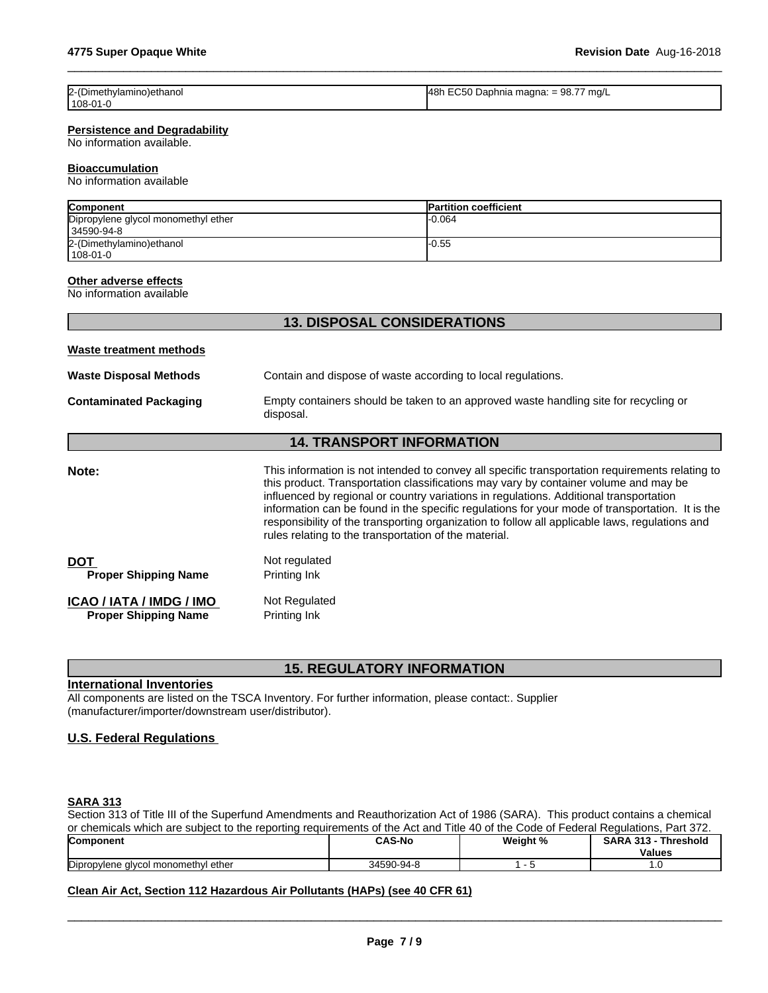| 2-(Dimethylamino) ethanol | $ 48h$ EC50 Daphnia magna: = 98.77 mg/L |
|---------------------------|-----------------------------------------|
| 108-01-0                  |                                         |

#### **Persistence and Degradability**

No information available.

#### **Bioaccumulation**

No information available

| Component                           | <b>Partition coefficient</b> |
|-------------------------------------|------------------------------|
| Dipropylene glycol monomethyl ether | -0.064                       |
| 34590-94-8                          |                              |
| 2-(Dimethylamino) ethanol           | l-0.55                       |
| l 108-01-0                          |                              |

#### **Other adverse effects**

No information available

|                                                                                                                                    | <b>13. DISPOSAL CONSIDERATIONS</b>                                                                                                                                                                                                                                                                                                                                                                                                                                                                                                              |  |  |
|------------------------------------------------------------------------------------------------------------------------------------|-------------------------------------------------------------------------------------------------------------------------------------------------------------------------------------------------------------------------------------------------------------------------------------------------------------------------------------------------------------------------------------------------------------------------------------------------------------------------------------------------------------------------------------------------|--|--|
| Waste treatment methods                                                                                                            |                                                                                                                                                                                                                                                                                                                                                                                                                                                                                                                                                 |  |  |
| <b>Waste Disposal Methods</b>                                                                                                      | Contain and dispose of waste according to local regulations.                                                                                                                                                                                                                                                                                                                                                                                                                                                                                    |  |  |
| Empty containers should be taken to an approved waste handling site for recycling or<br><b>Contaminated Packaging</b><br>disposal. |                                                                                                                                                                                                                                                                                                                                                                                                                                                                                                                                                 |  |  |
|                                                                                                                                    | <b>14. TRANSPORT INFORMATION</b>                                                                                                                                                                                                                                                                                                                                                                                                                                                                                                                |  |  |
| Note:                                                                                                                              | This information is not intended to convey all specific transportation requirements relating to<br>this product. Transportation classifications may vary by container volume and may be<br>influenced by regional or country variations in regulations. Additional transportation<br>information can be found in the specific regulations for your mode of transportation. It is the<br>responsibility of the transporting organization to follow all applicable laws, regulations and<br>rules relating to the transportation of the material. |  |  |
| <b>DOT</b><br><b>Proper Shipping Name</b>                                                                                          | Not regulated<br>Printing Ink                                                                                                                                                                                                                                                                                                                                                                                                                                                                                                                   |  |  |
| ICAO / IATA / IMDG / IMO<br><b>Proper Shipping Name</b>                                                                            | Not Regulated<br>Printing Ink                                                                                                                                                                                                                                                                                                                                                                                                                                                                                                                   |  |  |

# **15. REGULATORY INFORMATION**

#### **International Inventories**

All components are listed on the TSCA Inventory. For further information, please contact:. Supplier (manufacturer/importer/downstream user/distributor).

### **U.S. Federal Regulations**

# **SARA 313**

Section 313 of Title III of the Superfund Amendments and Reauthorization Act of 1986 (SARA). This product contains a chemical or chemicals which are subject to the reporting requirements of the Act and Title 40 of the Code of Federal Regulations, Part 372.

| <b>Component</b>                                | <b>CAS-No</b>            | Weight % | SAR/<br>-949<br>Threshold<br>د. اد. |  |
|-------------------------------------------------|--------------------------|----------|-------------------------------------|--|
|                                                 |                          |          | <b>Values</b>                       |  |
| Dipropylene<br>l ether<br>l monomethvl<br>'Ivco | 34590<br>)_Q <i>A</i> _ያ |          | . . v                               |  |

# **Clean Air Act,Section 112 Hazardous Air Pollutants (HAPs) (see 40 CFR 61)**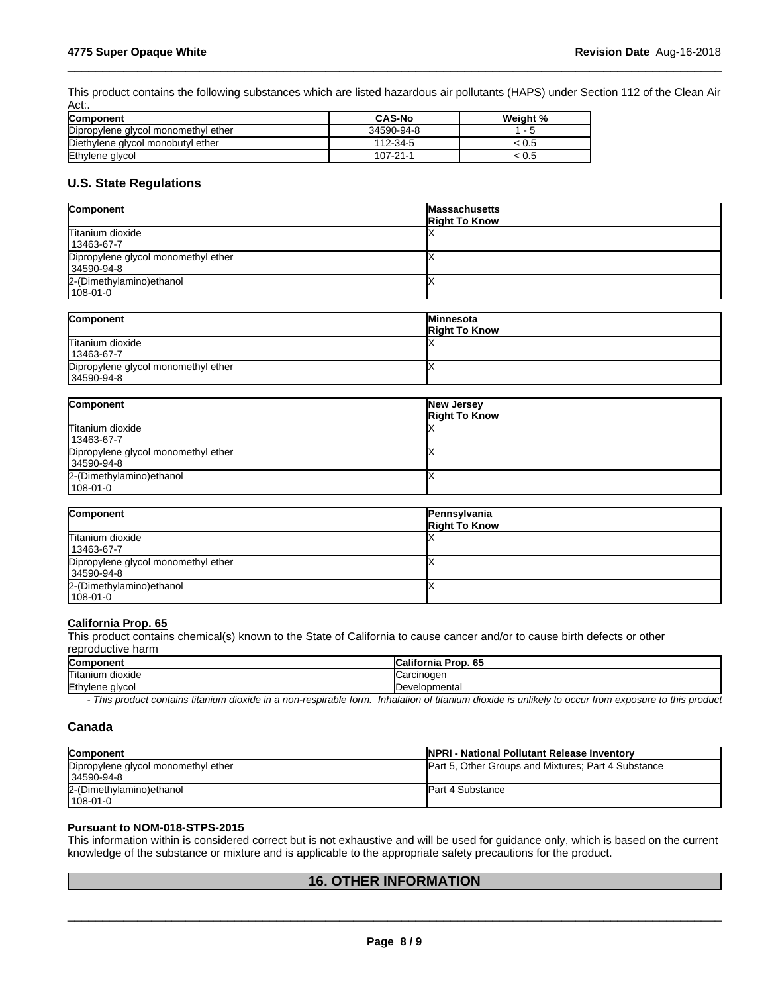This product contains the following substances which are listed hazardous air pollutants (HAPS) under Section 112 of the Clean Air Act:.

 $\_$  ,  $\_$  ,  $\_$  ,  $\_$  ,  $\_$  ,  $\_$  ,  $\_$  ,  $\_$  ,  $\_$  ,  $\_$  ,  $\_$  ,  $\_$  ,  $\_$  ,  $\_$  ,  $\_$  ,  $\_$  ,  $\_$  ,  $\_$  ,  $\_$  ,  $\_$  ,  $\_$  ,  $\_$  ,  $\_$  ,  $\_$  ,  $\_$  ,  $\_$  ,  $\_$  ,  $\_$  ,  $\_$  ,  $\_$  ,  $\_$  ,  $\_$  ,  $\_$  ,  $\_$  ,  $\_$  ,  $\_$  ,  $\_$  ,

| <b>Component</b>                    | <b>CAS-No</b> | Weight % |
|-------------------------------------|---------------|----------|
| Dipropylene glycol monomethyl ether | 34590-94-8    |          |
| Diethylene glycol monobutyl ether   | 112-34-5      | .U5      |
| Ethylene glycol                     | 107-21-1      | : บ.ธ    |

# **U.S. State Regulations**

| Component                                         | <b>Massachusetts</b><br><b>Right To Know</b> |
|---------------------------------------------------|----------------------------------------------|
| Titanium dioxide<br>  13463-67-7                  |                                              |
| Dipropylene glycol monomethyl ether<br>34590-94-8 |                                              |
| 2-(Dimethylamino) ethanol<br>108-01-0             |                                              |
|                                                   |                                              |

| <b>Component</b>                    | <b>Minnesota</b>     |
|-------------------------------------|----------------------|
|                                     | <b>Right To Know</b> |
| Titanium dioxide                    |                      |
| 13463-67-7                          |                      |
| Dipropylene glycol monomethyl ether |                      |
| 34590-94-8                          |                      |

| Component                                         | New Jersey<br><b>Right To Know</b> |
|---------------------------------------------------|------------------------------------|
| Titanium dioxide<br>13463-67-7                    |                                    |
| Dipropylene glycol monomethyl ether<br>34590-94-8 |                                    |
| 2-(Dimethylamino) ethanol<br>108-01-0             |                                    |

| Component                                         | Pennsylvania<br><b>Right To Know</b> |
|---------------------------------------------------|--------------------------------------|
| Titanium dioxide<br>  13463-67-7                  |                                      |
| Dipropylene glycol monomethyl ether<br>34590-94-8 |                                      |
| 2-(Dimethylamino) ethanol<br>108-01-0             |                                      |

# **California Prop. 65**

This product contains chemical(s) known to the State of California to cause cancer and/or to cause birth defects or other reproductive harm

| Component                  | <br>Prop. 65 ا<br>.California |
|----------------------------|-------------------------------|
| <b>Titanium</b><br>dioxide | ICarcınoɑer                   |
| Ethylene glycol            | Developmental                 |

*- This product contains titanium dioxide in a non-respirable form. Inhalation of titanium dioxide is unlikely to occur from exposure to this product*

# **Canada**

| <b>Component</b>                    | <b>INPRI - National Pollutant Release Inventory</b>        |
|-------------------------------------|------------------------------------------------------------|
| Dipropylene glycol monomethyl ether | <b>Part 5, Other Groups and Mixtures: Part 4 Substance</b> |
| 34590-94-8                          |                                                            |
| 2-(Dimethylamino) ethanol           | <b>Part 4 Substance</b>                                    |
| 108-01-0                            |                                                            |

# **Pursuant to NOM-018-STPS-2015**

This information within isconsidered correct but is not exhaustive and will be used for guidance only, which is based on the current knowledge of the substance or mixture and is applicable to the appropriate safety precautions for the product.

# **16. OTHER INFORMATION**